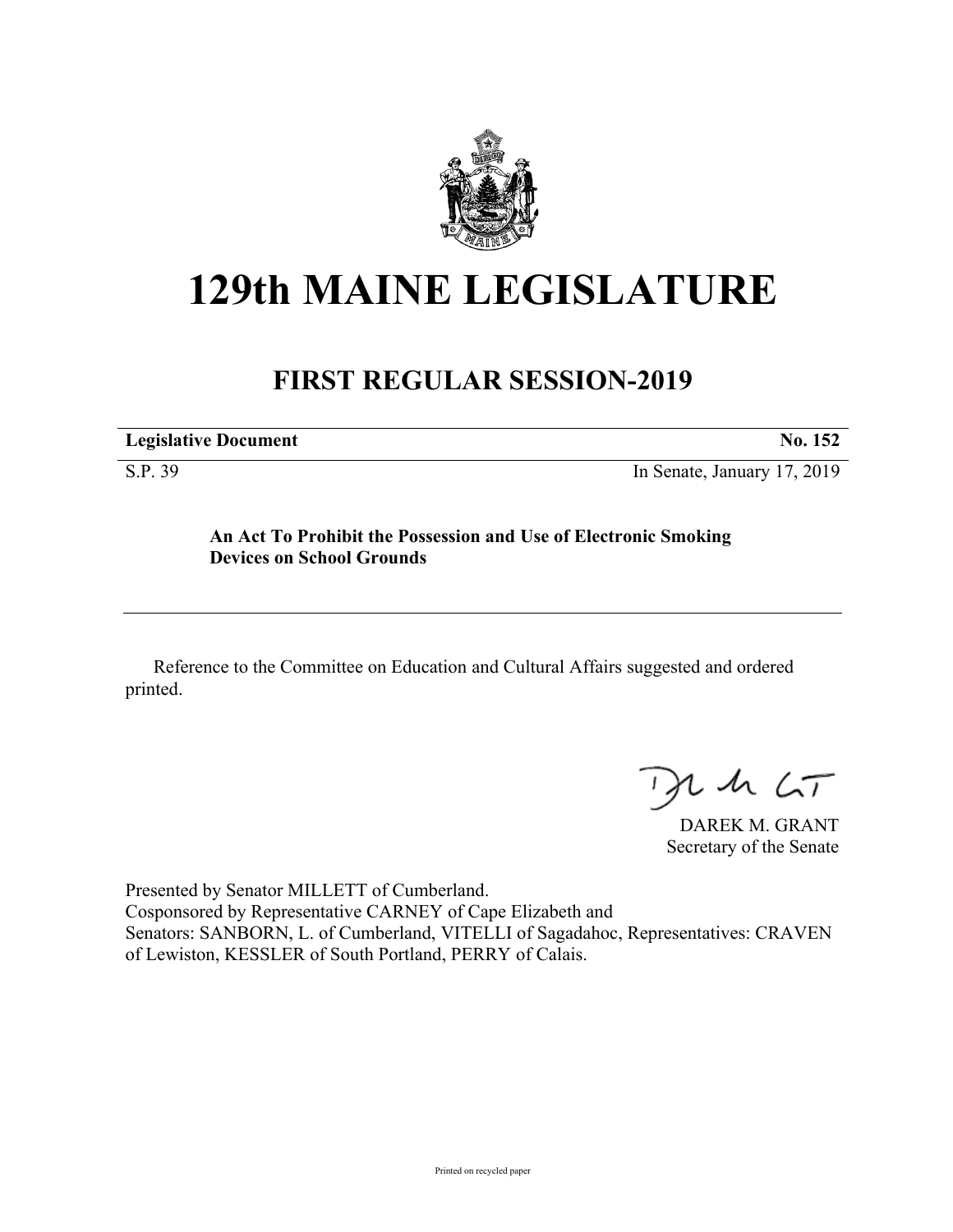

# **129th MAINE LEGISLATURE**

## **FIRST REGULAR SESSION-2019**

| <b>Legislative Document</b> |  |
|-----------------------------|--|
|                             |  |

S.P. 39 In Senate, January 17, 2019

### **An Act To Prohibit the Possession and Use of Electronic Smoking Devices on School Grounds**

Reference to the Committee on Education and Cultural Affairs suggested and ordered printed.

 $125$ 

DAREK M. GRANT Secretary of the Senate

Presented by Senator MILLETT of Cumberland. Cosponsored by Representative CARNEY of Cape Elizabeth and Senators: SANBORN, L. of Cumberland, VITELLI of Sagadahoc, Representatives: CRAVEN of Lewiston, KESSLER of South Portland, PERRY of Calais.